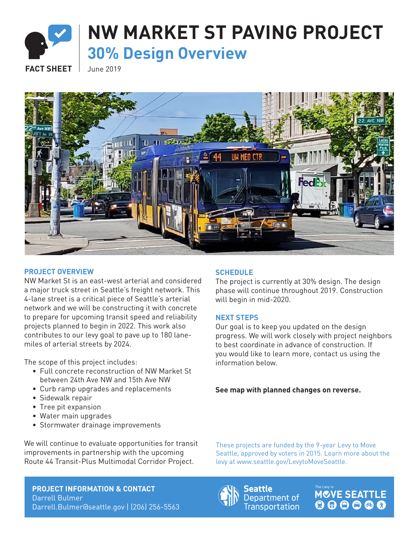

# **NW MARKET ST PAVING PROJECT 30% Design Overview**

**FACT SHEET** June 2019



#### **PROJECT OVERVIEW**

NW Market St is an east-west arterial and considered a major truck street in Seattle's freight network. This 4-lane street is a critical piece of Seattle's arterial network and we will be constructing it with concrete to prepare for upcoming transit speed and reliability projects planned to begin in 2022. This work also contributes to our levy goal to pave up to 180 lanemiles of arterial streets by 2024.

The scope of this project includes:

- Full concrete reconstruction of NW Market St between 24th Ave NW and 15th Ave NW
- Curb ramp upgrades and replacements
- Sidewalk repair
- Tree pit expansion
- Water main upgrades
- Stormwater drainage improvements

We will continue to evaluate opportunities for transit improvements in partnership with the upcoming Route 44 Transit-Plus Multimodal Corridor Project.

#### **PROJECT INFORMATION & CONTACT** Darrell Bulmer Darrell.Bulmer@seattle.gov | (206) 256-5563

# **SCHEDULE**

The project is currently at 30% design. The design phase will continue throughout 2019. Construction will begin in mid-2020.

# **NEXT STEPS**

Our goal is to keep you updated on the design progress. We will work closely with project neighbors to best coordinate in advance of construction. If you would like to learn more, contact us using the information below.

**See map with planned changes on reverse.**

These projects are funded by the 9-year Levy to Move Seattle, approved by voters in 2015. Learn more about the levy at www.seattle.gov/LevytoMoveSeattle.



Seattle Department of **Transportation**  MOVE SEATTLE  $\begin{array}{c} \bullet\bullet\bullet\bullet\bullet\bullet \end{array}$